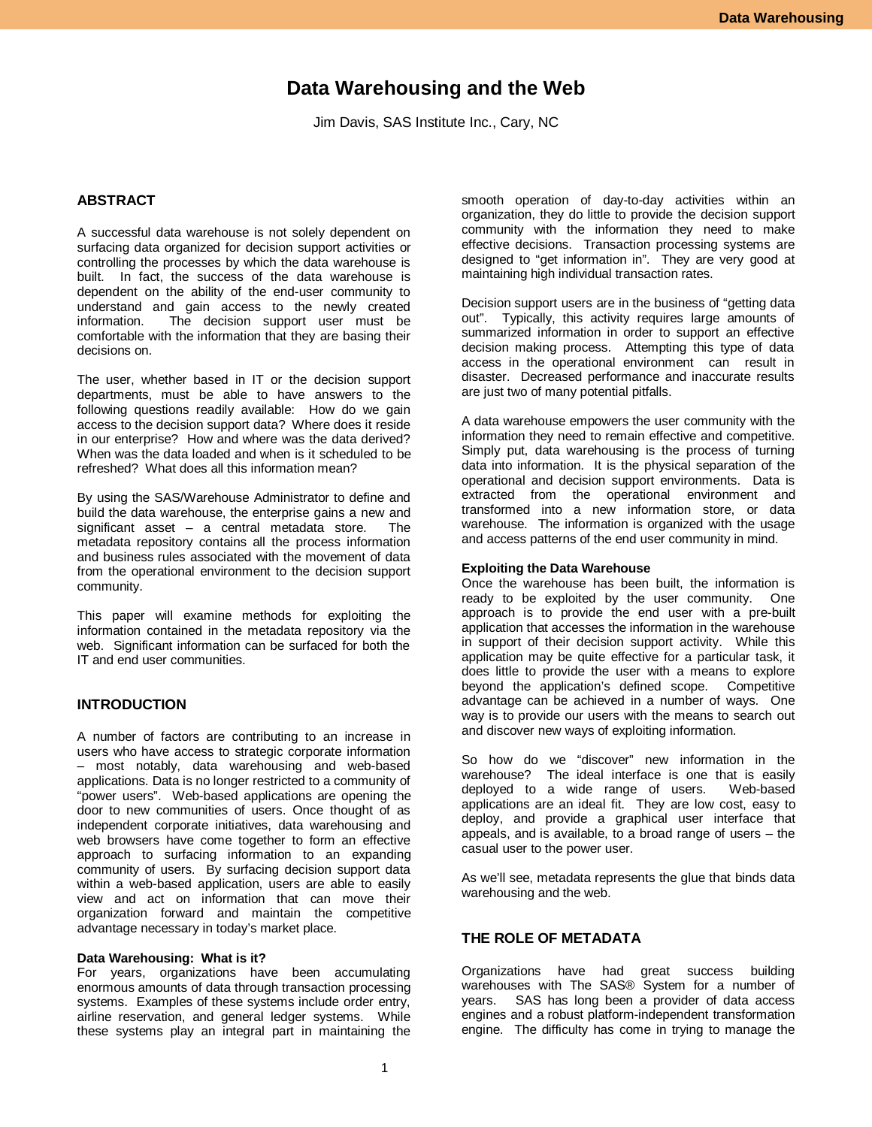# **Data Warehousing and the Web**

Jim Davis, SAS Institute Inc., Cary, NC

### **ABSTRACT**

A successful data warehouse is not solely dependent on surfacing data organized for decision support activities or controlling the processes by which the data warehouse is built. In fact, the success of the data warehouse is dependent on the ability of the end-user community to understand and gain access to the newly created information. The decision support user must be comfortable with the information that they are basing their decisions on.

The user, whether based in IT or the decision support departments, must be able to have answers to the following questions readily available: How do we gain access to the decision support data? Where does it reside in our enterprise? How and where was the data derived? When was the data loaded and when is it scheduled to be refreshed? What does all this information mean?

By using the SAS/Warehouse Administrator to define and build the data warehouse, the enterprise gains a new and significant asset – a central metadata store. The metadata repository contains all the process information and business rules associated with the movement of data from the operational environment to the decision support community.

This paper will examine methods for exploiting the information contained in the metadata repository via the web. Significant information can be surfaced for both the IT and end user communities.

### **INTRODUCTION**

A number of factors are contributing to an increase in users who have access to strategic corporate information – most notably, data warehousing and web-based applications. Data is no longer restricted to a community of "power users". Web-based applications are opening the door to new communities of users. Once thought of as independent corporate initiatives, data warehousing and web browsers have come together to form an effective approach to surfacing information to an expanding community of users. By surfacing decision support data within a web-based application, users are able to easily view and act on information that can move their organization forward and maintain the competitive advantage necessary in today's market place.

#### **Data Warehousing: What is it?**

For years, organizations have been accumulating enormous amounts of data through transaction processing systems. Examples of these systems include order entry, airline reservation, and general ledger systems. While these systems play an integral part in maintaining the

smooth operation of day-to-day activities within an organization, they do little to provide the decision support community with the information they need to make effective decisions. Transaction processing systems are designed to "get information in". They are very good at maintaining high individual transaction rates.

Decision support users are in the business of "getting data out". Typically, this activity requires large amounts of summarized information in order to support an effective decision making process. Attempting this type of data access in the operational environment can result in disaster. Decreased performance and inaccurate results are just two of many potential pitfalls.

A data warehouse empowers the user community with the information they need to remain effective and competitive. Simply put, data warehousing is the process of turning data into information. It is the physical separation of the operational and decision support environments. Data is extracted from the operational environment and transformed into a new information store, or data warehouse. The information is organized with the usage and access patterns of the end user community in mind.

#### **Exploiting the Data Warehouse**

Once the warehouse has been built, the information is ready to be exploited by the user community. One approach is to provide the end user with a pre-built application that accesses the information in the warehouse in support of their decision support activity. While this application may be quite effective for a particular task, it does little to provide the user with a means to explore beyond the application's defined scope. Competitive advantage can be achieved in a number of ways. One way is to provide our users with the means to search out and discover new ways of exploiting information.

So how do we "discover" new information in the warehouse? The ideal interface is one that is easily deployed to a wide range of users. Web-based deployed to a wide range of users. applications are an ideal fit. They are low cost, easy to deploy, and provide a graphical user interface that appeals, and is available, to a broad range of users – the casual user to the power user.

As we'll see, metadata represents the glue that binds data warehousing and the web.

## **THE ROLE OF METADATA**

Organizations have had great success building warehouses with The SAS® System for a number of vears. SAS has long been a provider of data access SAS has long been a provider of data access engines and a robust platform-independent transformation engine. The difficulty has come in trying to manage the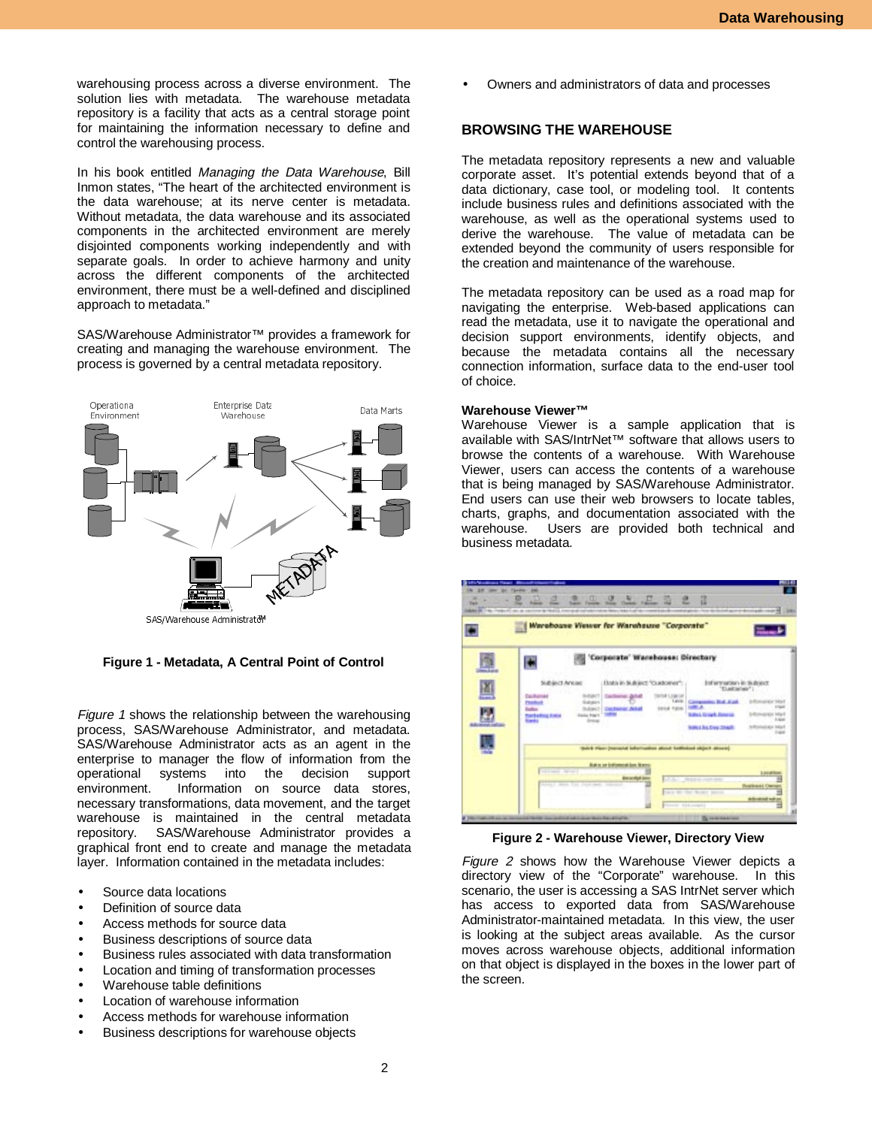warehousing process across a diverse environment. The solution lies with metadata. The warehouse metadata repository is a facility that acts as a central storage point for maintaining the information necessary to define and control the warehousing process.

In his book entitled Managing the Data Warehouse, Bill Inmon states, "The heart of the architected environment is the data warehouse; at its nerve center is metadata. Without metadata, the data warehouse and its associated components in the architected environment are merely disjointed components working independently and with separate goals. In order to achieve harmony and unity across the different components of the architected environment, there must be a well-defined and disciplined approach to metadata."

SAS/Warehouse Administrator™ provides a framework for creating and managing the warehouse environment. The process is governed by a central metadata repository.



**Figure 1 - Metadata, A Central Point of Control**

Figure 1 shows the relationship between the warehousing process, SAS/Warehouse Administrator, and metadata. SAS/Warehouse Administrator acts as an agent in the enterprise to manager the flow of information from the operational systems into the decision support environment. Information on source data stores, necessary transformations, data movement, and the target warehouse is maintained in the central metadata repository. SAS/Warehouse Administrator provides a graphical front end to create and manage the metadata layer. Information contained in the metadata includes:

- Source data locations
- Definition of source data
- Access methods for source data
- Business descriptions of source data
- Business rules associated with data transformation
- Location and timing of transformation processes
- Warehouse table definitions
- Location of warehouse information
- Access methods for warehouse information
- Business descriptions for warehouse objects

• Owners and administrators of data and processes

### **BROWSING THE WAREHOUSE**

The metadata repository represents a new and valuable corporate asset. It's potential extends beyond that of a data dictionary, case tool, or modeling tool. It contents include business rules and definitions associated with the warehouse, as well as the operational systems used to derive the warehouse. The value of metadata can be extended beyond the community of users responsible for the creation and maintenance of the warehouse.

The metadata repository can be used as a road map for navigating the enterprise. Web-based applications can read the metadata, use it to navigate the operational and decision support environments, identify objects, and because the metadata contains all the necessary connection information, surface data to the end-user tool of choice.

#### **Warehouse Viewer™**

Warehouse Viewer is a sample application that is available with SAS/IntrNet™ software that allows users to browse the contents of a warehouse. With Warehouse Viewer, users can access the contents of a warehouse that is being managed by SAS/Warehouse Administrator. End users can use their web browsers to locate tables, charts, graphs, and documentation associated with the warehouse. Users are provided both technical and business metadata.



**Figure 2 - Warehouse Viewer, Directory View**

Figure 2 shows how the Warehouse Viewer depicts a directory view of the "Corporate" warehouse. In this scenario, the user is accessing a SAS IntrNet server which has access to exported data from SAS/Warehouse Administrator-maintained metadata. In this view, the user is looking at the subject areas available. As the cursor moves across warehouse objects, additional information on that object is displayed in the boxes in the lower part of the screen.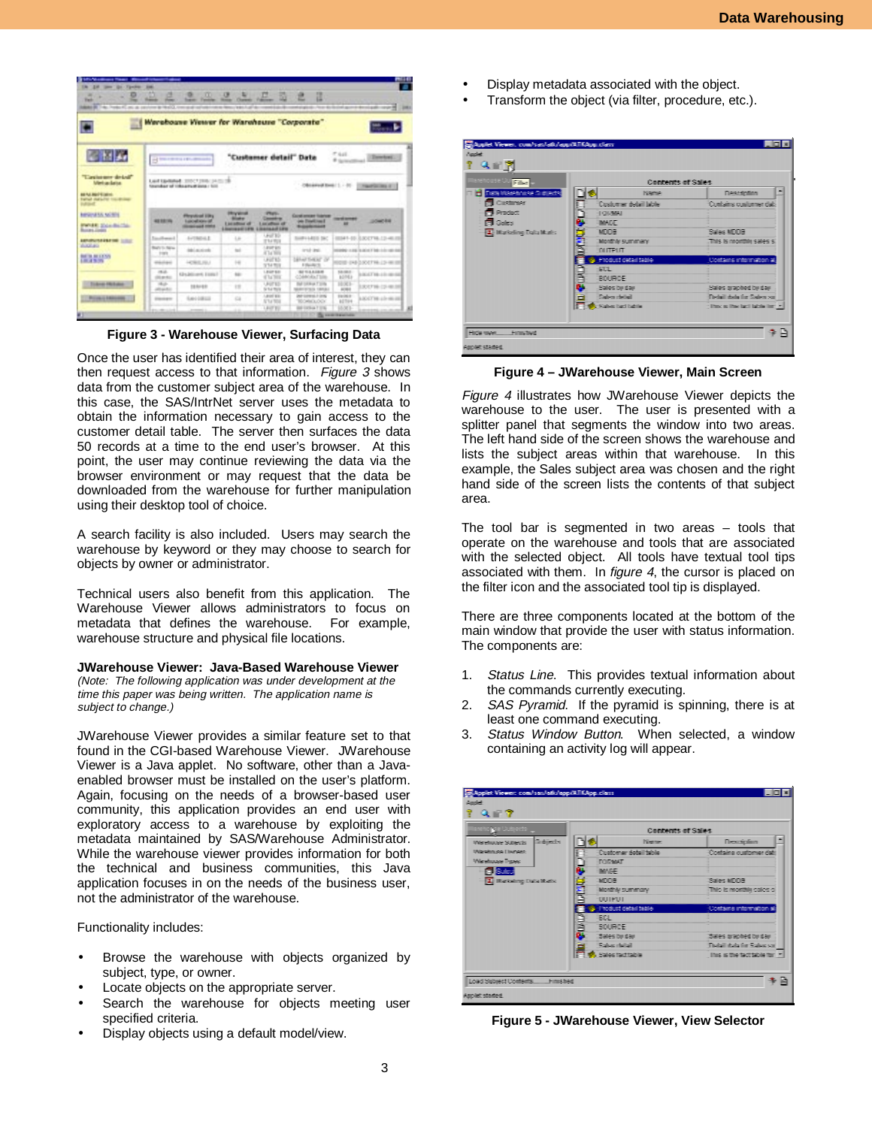

**Figure 3 - Warehouse Viewer, Surfacing Data**

Once the user has identified their area of interest, they can then request access to that information. Figure 3 shows data from the customer subject area of the warehouse. In this case, the SAS/IntrNet server uses the metadata to obtain the information necessary to gain access to the customer detail table. The server then surfaces the data 50 records at a time to the end user's browser. At this point, the user may continue reviewing the data via the browser environment or may request that the data be downloaded from the warehouse for further manipulation using their desktop tool of choice.

A search facility is also included. Users may search the warehouse by keyword or they may choose to search for objects by owner or administrator.

Technical users also benefit from this application. The Warehouse Viewer allows administrators to focus on metadata that defines the warehouse. For example, warehouse structure and physical file locations.

#### **JWarehouse Viewer: Java-Based Warehouse Viewer**

(Note: The following application was under development at the time this paper was being written. The application name is subject to change.)

JWarehouse Viewer provides a similar feature set to that found in the CGI-based Warehouse Viewer. JWarehouse Viewer is a Java applet. No software, other than a Javaenabled browser must be installed on the user's platform. Again, focusing on the needs of a browser-based user community, this application provides an end user with exploratory access to a warehouse by exploiting the metadata maintained by SAS/Warehouse Administrator. While the warehouse viewer provides information for both the technical and business communities, this Java application focuses in on the needs of the business user, not the administrator of the warehouse.

Functionality includes:

- Browse the warehouse with objects organized by subject, type, or owner.
- Locate objects on the appropriate server.
- Search the warehouse for objects meeting user specified criteria.
- Display objects using a default model/view.
- Display metadata associated with the object.
- Transform the object (via filter, procedure, etc.).

| arah untuk bila <mark>ngka</mark> k | Contents of Sales:             |                                     |
|-------------------------------------|--------------------------------|-------------------------------------|
| <b>C. Data Wassemase Subjects</b>   | <b>Pilgerman</b>               | <b>Flower defined</b>               |
| <b>B</b> Customer                   | Customer detail table          | tú atains o stiamer data            |
| <b>Di</b> Predect                   | ٦<br><b>HIGHWAY</b>            |                                     |
| fill Gales                          | ü<br>TANCE"                    |                                     |
| <b>Tal Marketing Data Marts</b>     | Miller                         | Sales Middle                        |
|                                     | ė<br>S<br>Monthly summary.     | Finity is monthin sales of          |
|                                     | <b>DUTFUT</b>                  |                                     |
|                                     | <b>S</b> : Thudust debal bible | 10 valuates mismakiem ab            |
|                                     | Į<br><b>ESD1</b>               |                                     |
|                                     | <b>ISOURICE:</b>               |                                     |
|                                     | <b>Rains by day</b>            | Trafes eraphod by day.              |
|                                     | States dettail<br>н            | Liveal salar for Sales su-          |
|                                     | Salva facilistic               | : They as they level table flam in- |

**Figure 4 – JWarehouse Viewer, Main Screen**

Figure 4 illustrates how JWarehouse Viewer depicts the warehouse to the user. The user is presented with a splitter panel that segments the window into two areas. The left hand side of the screen shows the warehouse and lists the subject areas within that warehouse. In this example, the Sales subject area was chosen and the right hand side of the screen lists the contents of that subject area.

The tool bar is segmented in two areas – tools that operate on the warehouse and tools that are associated with the selected object. All tools have textual tool tips associated with them. In figure 4, the cursor is placed on the filter icon and the associated tool tip is displayed.

There are three components located at the bottom of the main window that provide the user with status information. The components are:

- 1. Status Line. This provides textual information about the commands currently executing.
- 2. SAS Pyramid. If the pyramid is spinning, there is at least one command executing.
- 3. Status Window Button. When selected, a window containing an activity log will appear.

| lanelho pre Gudjente <sub>ve</sub> | Contents of Sales           |                                |
|------------------------------------|-----------------------------|--------------------------------|
| Subjects:<br>Warehouse Subjects    | m<br>Nisma:                 | Description                    |
| Warningson Liverpool               | <b>Customer Antall Male</b> | 10 attains o princes data      |
| Warehouse Traves:                  | Į<br><b>TORMAT</b>          |                                |
| 自我感                                | <b>BASE</b>                 |                                |
| [2] Marketing Data Marks           | <b>TATION</b>               | Tales MTOR                     |
|                                    | Ē<br>Monthly summary.       | This is monthly sales si       |
|                                    | 100111111                   |                                |
|                                    | Su-Printing detail table    | if and aires information at    |
|                                    | i<br>U<br><b>不明</b>         |                                |
|                                    | <b>ROUBCE</b>               |                                |
|                                    | Sales by day                | Blakes graphed by day          |
|                                    | m<br>"Sadara chiliali       | The fail that's fire Statement |
|                                    | <b>O</b> , Sales fact table | This is the fact table for in- |

**Figure 5 - JWarehouse Viewer, View Selector**